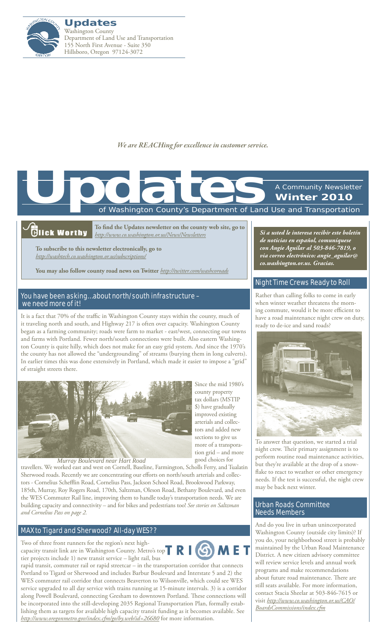

*We are REACHing for excellence in customer service.*

of Washington County's Department of Land Use and Transportation A Community Newsletter **Winter 2010 Updates**<br>The Contract of Washington County's Department of Land

## .<br>Glick Worthy

**To find the Updates newsletter on the county web site, go to**  *http://www.co.washington.or.us/News/Newsletters*

**To subscribe to this newsletter electronically, go to**  *http://washtech.co.washington.or.us/subscriptions/*

**You may also follow county road news on Twitter** *http://twitter.com/washcoroads*

#### You have been asking… about north/south infrastructure – we need more of it!

It is a fact that 70% of the traffic in Washington County stays within the county, much of it traveling north and south, and Highway 217 is often over capacity. Washington County began as a farming community; roads were farm to market - east/west, connecting our towns and farms with Portland. Fewer north/south connections were built. Also eastern Washington County is quite hilly, which does not make for an easy grid system. And since the 1970's the county has not allowed the "undergrounding" of streams (burying them in long culverts). In earlier times this was done extensively in Portland, which made it easier to impose a "grid" of straight streets there.



more of a transporation grid – and more good choices for travellers. We worked east and west on Cornell, Baseline, Farmington, Scholls Ferry, and Tualatin Sherwood roads. Recently we are concentrating our efforts on north/south arterials and collectors - Cornelius Schefflin Road, Cornelius Pass, Jackson School Road, Brookwood Parkway, 185th, Murray, Roy Rogers Road, 170th, Saltzman, Oleson Road, Bethany Boulevard, and even the WES Commuter Rail line, improving them to handle today's transportation needs. We are building capacity and connectivity – and for bikes and pedestrians too! *See stories on [Saltzman](#page-1-0) Murray Boulevard near Hart Road*

## [MAX to Tigard and Sherwood? All-day WES??](http://www.oregonmetro.gov/index.cfm/go/by.web/id=26680)

*and [Cornelius Pass](#page-1-1) on [page 2.](#page-1-1)*

Two of three front runners for the region's next highcapacity transit link are in Washington County. Metro's top  $\begin{array}{|c|c|c|}\n\hline\n\textbf{R}\n\end{array}$ tier projects include 1) new transit service – light rail, bus



Since the mid 1980's county property tax dollars (MSTIP \$) have gradually improved existing arterials and collectors and added new sections to give us

rapid transit, commuter rail or rapid streetcar – in the transportation corridor that connects Portland to Tigard or Sherwood and includes Barbur Boulevard and Interstate 5 and 2) the WES commuter rail corridor that connects Beaverton to Wilsonville, which could see WES service upgraded to all day service with trains running at 15-minute intervals. 3) is a corridor along Powell Boulevard, connecting Gresham to downtown Portland. These connections will be incorporated into the still-developing 2035 Regional Transportation Plan, formally establishing them as targets for available high capacity transit funding as it becomes available. See *http://www.oregonmetro.gov/index.cfm/go/by.web/id=26680* for more information.

*Si a usted le interesa recibir este boletín de noticias en español, comuníquese con Angie Aguilar al 503-846-7819, o via correo electrónico: angie\_aguilar@ co.washington.or.us. Gracias.*

## [Night Time Crews Ready to Roll](http://www.wc-roads.com/)

Rather than calling folks to come in early when winter weather threatens the morning commute, would it be more efficient to have a road maintenance night crew on duty, ready to de-ice and sand roads?



To answer that question, we started a trial night crew. Their primary assignment is to perform routine road maintenance activities, but they're available at the drop of a snowflake to react to weather or other emergency needs. If the test is successful, the night crew may be back next winter.

#### [Urban Roads Committee](http://www.co.washington.or.us/CAO/BoardsCommissions/index.cfm)  [Needs Members](http://www.co.washington.or.us/CAO/BoardsCommissions/index.cfm)

And do you live in urban unincorporated Washington County (outside city limits)? If you do, your neighborhood street is probably maintained by the Urban Road Maintenance District. A new citizen advisory committee will review service levels and annual work programs and make recommendations about future road maintenance. There are still seats available. For more information, contact Stacia Sheelar at 503-846-7615 or visit *[http://www.co.washington.or.us/CAO/](http://www.co.washington.or.us/CAO/BoardsCommissions/index.cfm) [BoardsCommissions/index.cfm](http://www.co.washington.or.us/CAO/BoardsCommissions/index.cfm)*